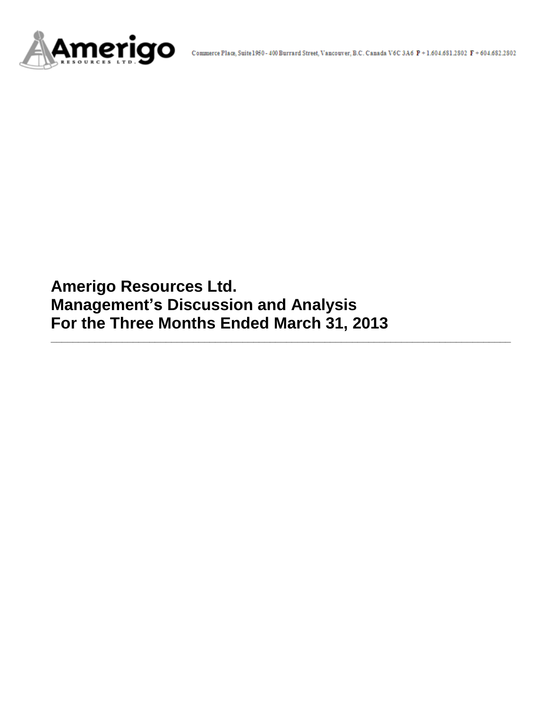

**Amerigo Resources Ltd. Management's Discussion and Analysis For the Three Months Ended March 31, 2013**

**\_\_\_\_\_\_\_\_\_\_\_\_\_\_\_\_\_\_\_\_\_\_\_\_\_\_\_\_\_\_\_\_\_\_\_\_\_\_\_\_\_\_\_\_\_\_\_\_\_\_\_\_\_\_\_\_\_\_\_\_\_\_\_\_\_\_\_\_\_\_\_\_\_\_\_\_\_\_\_\_\_\_\_\_**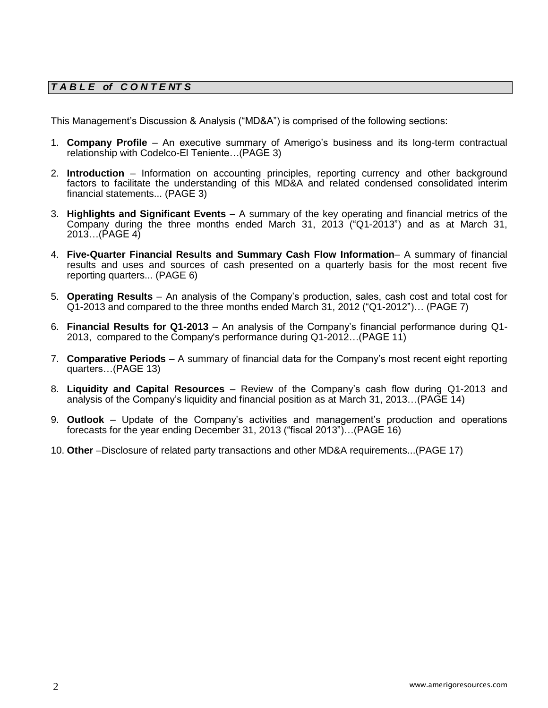# *T A B L E of C O N T E NT S*

This Management's Discussion & Analysis ("MD&A") is comprised of the following sections:

- 1. **Company Profile**  An executive summary of Amerigo's business and its long-term contractual relationship with Codelco-El Teniente…(PAGE 3)
- 2. **Introduction**  Information on accounting principles, reporting currency and other background factors to facilitate the understanding of this MD&A and related condensed consolidated interim financial statements... (PAGE 3)
- 3. **Highlights and Significant Events** A summary of the key operating and financial metrics of the Company during the three months ended March 31, 2013 ("Q1-2013") and as at March 31, 2013…(PAGE 4)
- 4. **Five-Quarter Financial Results and Summary Cash Flow Information** A summary of financial results and uses and sources of cash presented on a quarterly basis for the most recent five reporting quarters... (PAGE 6)
- 5. **Operating Results** An analysis of the Company's production, sales, cash cost and total cost for Q1-2013 and compared to the three months ended March 31, 2012 ("Q1-2012")… (PAGE 7)
- 6. **Financial Results for Q1-2013** An analysis of the Company's financial performance during Q1- 2013, compared to the Company's performance during Q1-2012…(PAGE 11)
- 7. **Comparative Periods** A summary of financial data for the Company's most recent eight reporting quarters…(PAGE 13)
- 8. **Liquidity and Capital Resources** Review of the Company's cash flow during Q1-2013 and analysis of the Company's liquidity and financial position as at March 31, 2013…(PAGE 14)
- 9. **Outlook** Update of the Company's activities and management's production and operations forecasts for the year ending December 31, 2013 ("fiscal 2013")…(PAGE 16)
- 10. **Other** –Disclosure of related party transactions and other MD&A requirements...(PAGE 17)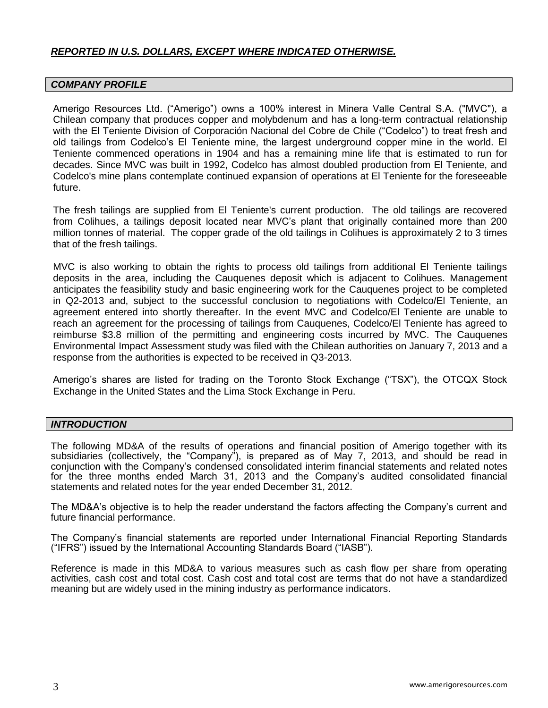# *REPORTED IN U.S. DOLLARS, EXCEPT WHERE INDICATED OTHERWISE.*

#### *COMPANY PROFILE*

Amerigo Resources Ltd. ("Amerigo") owns a 100% interest in Minera Valle Central S.A. ("MVC"), a Chilean company that produces copper and molybdenum and has a long-term contractual relationship with the El Teniente Division of Corporación Nacional del Cobre de Chile ("Codelco") to treat fresh and old tailings from Codelco's El Teniente mine, the largest underground copper mine in the world. El Teniente commenced operations in 1904 and has a remaining mine life that is estimated to run for decades. Since MVC was built in 1992, Codelco has almost doubled production from El Teniente, and Codelco's mine plans contemplate continued expansion of operations at El Teniente for the foreseeable future.

The fresh tailings are supplied from El Teniente's current production. The old tailings are recovered from Colihues, a tailings deposit located near MVC's plant that originally contained more than 200 million tonnes of material. The copper grade of the old tailings in Colihues is approximately 2 to 3 times that of the fresh tailings.

MVC is also working to obtain the rights to process old tailings from additional El Teniente tailings deposits in the area, including the Cauquenes deposit which is adjacent to Colihues. Management anticipates the feasibility study and basic engineering work for the Cauquenes project to be completed in Q2-2013 and, subject to the successful conclusion to negotiations with Codelco/El Teniente, an agreement entered into shortly thereafter. In the event MVC and Codelco/El Teniente are unable to reach an agreement for the processing of tailings from Cauquenes, Codelco/El Teniente has agreed to reimburse \$3.8 million of the permitting and engineering costs incurred by MVC. The Cauquenes Environmental Impact Assessment study was filed with the Chilean authorities on January 7, 2013 and a response from the authorities is expected to be received in Q3-2013.

Amerigo's shares are listed for trading on the Toronto Stock Exchange ("TSX"), the OTCQX Stock Exchange in the United States and the Lima Stock Exchange in Peru.

#### *INTRODUCTION*

The following MD&A of the results of operations and financial position of Amerigo together with its subsidiaries (collectively, the "Company"), is prepared as of May 7, 2013, and should be read in conjunction with the Company's condensed consolidated interim financial statements and related notes for the three months ended March 31, 2013 and the Company's audited consolidated financial statements and related notes for the year ended December 31, 2012.

The MD&A's objective is to help the reader understand the factors affecting the Company's current and future financial performance.

The Company's financial statements are reported under International Financial Reporting Standards ("IFRS") issued by the International Accounting Standards Board ("IASB").

Reference is made in this MD&A to various measures such as cash flow per share from operating activities, cash cost and total cost. Cash cost and total cost are terms that do not have a standardized meaning but are widely used in the mining industry as performance indicators.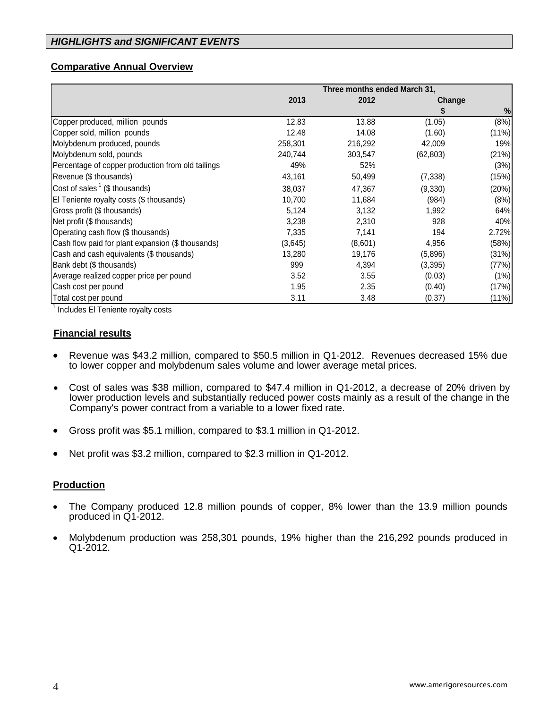# **Comparative Annual Overview**

|                                                   | Three months ended March 31, |         |           |          |  |  |
|---------------------------------------------------|------------------------------|---------|-----------|----------|--|--|
|                                                   | 2013                         | 2012    |           | Change   |  |  |
|                                                   |                              |         |           | $\%$     |  |  |
| Copper produced, million pounds                   | 12.83                        | 13.88   | (1.05)    | (8%)     |  |  |
| Copper sold, million pounds                       | 12.48                        | 14.08   | (1.60)    | (11%)    |  |  |
| Molybdenum produced, pounds                       | 258,301                      | 216,292 | 42,009    | 19%      |  |  |
| Molybdenum sold, pounds                           | 240,744                      | 303,547 | (62, 803) | (21%)    |  |  |
| Percentage of copper production from old tailings | 49%                          | 52%     |           | (3%)     |  |  |
| Revenue (\$ thousands)                            | 43,161                       | 50,499  | (7, 338)  | (15%)    |  |  |
| Cost of sales $1$ (\$ thousands)                  | 38,037                       | 47,367  | (9,330)   | (20%)    |  |  |
| El Teniente royalty costs (\$ thousands)          | 10,700                       | 11,684  | (984)     | (8%)     |  |  |
| Gross profit (\$ thousands)                       | 5,124                        | 3,132   | 1,992     | 64%      |  |  |
| Net profit (\$ thousands)                         | 3,238                        | 2,310   | 928       | 40%      |  |  |
| Operating cash flow (\$ thousands)                | 7,335                        | 7,141   | 194       | 2.72%    |  |  |
| Cash flow paid for plant expansion (\$ thousands) | (3,645)                      | (8,601) | 4,956     | (58%)    |  |  |
| Cash and cash equivalents (\$ thousands)          | 13,280                       | 19,176  | (5,896)   | (31%)    |  |  |
| Bank debt (\$ thousands)                          | 999                          | 4,394   | (3, 395)  | (77%)    |  |  |
| Average realized copper price per pound           | 3.52                         | 3.55    | (0.03)    | (1%)     |  |  |
| Cash cost per pound                               | 1.95                         | 2.35    | (0.40)    | (17%)    |  |  |
| Total cost per pound                              | 3.11                         | 3.48    | (0.37)    | $(11\%)$ |  |  |

<sup>1</sup> Includes El Teniente royalty costs

## **Financial results**

- Revenue was \$43.2 million, compared to \$50.5 million in Q1-2012. Revenues decreased 15% due to lower copper and molybdenum sales volume and lower average metal prices.
- Cost of sales was \$38 million, compared to \$47.4 million in Q1-2012, a decrease of 20% driven by lower production levels and substantially reduced power costs mainly as a result of the change in the Company's power contract from a variable to a lower fixed rate.
- Gross profit was \$5.1 million, compared to \$3.1 million in Q1-2012.
- Net profit was \$3.2 million, compared to \$2.3 million in Q1-2012.

## **Production**

- The Company produced 12.8 million pounds of copper, 8% lower than the 13.9 million pounds produced in Q1-2012.
- Molybdenum production was 258,301 pounds, 19% higher than the 216,292 pounds produced in Q1-2012.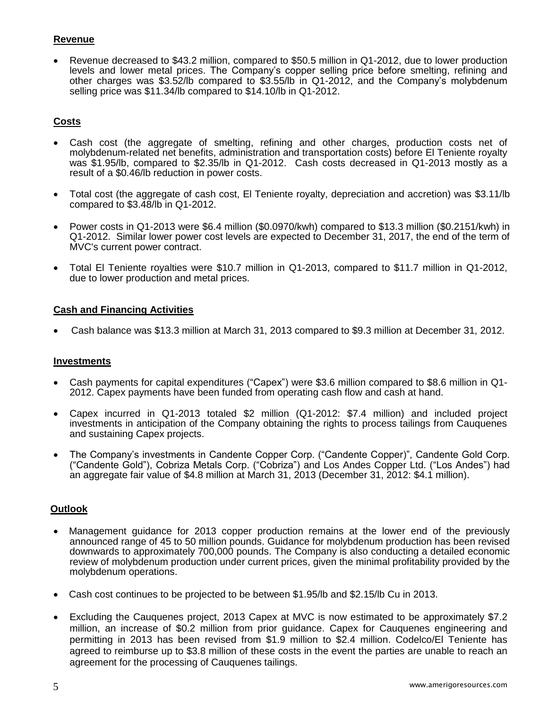# **Revenue**

 Revenue decreased to \$43.2 million, compared to \$50.5 million in Q1-2012, due to lower production levels and lower metal prices. The Company's copper selling price before smelting, refining and other charges was \$3.52/lb compared to \$3.55/lb in Q1-2012, and the Company's molybdenum selling price was \$11.34/lb compared to \$14.10/lb in Q1-2012.

# **Costs**

- Cash cost (the aggregate of smelting, refining and other charges, production costs net of molybdenum-related net benefits, administration and transportation costs) before El Teniente royalty was \$1.95/lb, compared to \$2.35/lb in Q1-2012. Cash costs decreased in Q1-2013 mostly as a result of a \$0.46/lb reduction in power costs.
- Total cost (the aggregate of cash cost, El Teniente royalty, depreciation and accretion) was \$3.11/lb compared to \$3.48/lb in Q1-2012.
- Power costs in Q1-2013 were \$6.4 million (\$0.0970/kwh) compared to \$13.3 million (\$0.2151/kwh) in Q1-2012. Similar lower power cost levels are expected to December 31, 2017, the end of the term of MVC's current power contract.
- Total El Teniente royalties were \$10.7 million in Q1-2013, compared to \$11.7 million in Q1-2012, due to lower production and metal prices.

## **Cash and Financing Activities**

Cash balance was \$13.3 million at March 31, 2013 compared to \$9.3 million at December 31, 2012.

#### **Investments**

- Cash payments for capital expenditures ("Capex") were \$3.6 million compared to \$8.6 million in Q1- 2012. Capex payments have been funded from operating cash flow and cash at hand.
- Capex incurred in Q1-2013 totaled \$2 million (Q1-2012: \$7.4 million) and included project investments in anticipation of the Company obtaining the rights to process tailings from Cauquenes and sustaining Capex projects.
- The Company's investments in Candente Copper Corp. ("Candente Copper)", Candente Gold Corp. ("Candente Gold"), Cobriza Metals Corp. ("Cobriza") and Los Andes Copper Ltd. ("Los Andes") had an aggregate fair value of \$4.8 million at March 31, 2013 (December 31, 2012: \$4.1 million).

## **Outlook**

- Management guidance for 2013 copper production remains at the lower end of the previously announced range of 45 to 50 million pounds. Guidance for molybdenum production has been revised downwards to approximately 700,000 pounds. The Company is also conducting a detailed economic review of molybdenum production under current prices, given the minimal profitability provided by the molybdenum operations.
- Cash cost continues to be projected to be between \$1.95/lb and \$2.15/lb Cu in 2013.
- Excluding the Cauquenes project, 2013 Capex at MVC is now estimated to be approximately \$7.2 million, an increase of \$0.2 million from prior guidance. Capex for Cauquenes engineering and permitting in 2013 has been revised from \$1.9 million to \$2.4 million. Codelco/El Teniente has agreed to reimburse up to \$3.8 million of these costs in the event the parties are unable to reach an agreement for the processing of Cauquenes tailings.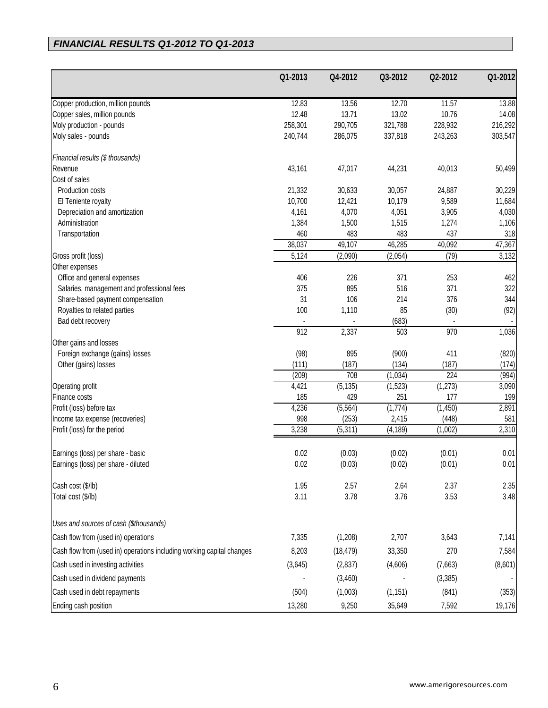# *FINANCIAL RESULTS Q1-2012 TO Q1-2013*

|                                                                       | Q1-2013        | Q4-2012        | Q3-2012        | Q2-2012        | Q1-2012          |
|-----------------------------------------------------------------------|----------------|----------------|----------------|----------------|------------------|
|                                                                       |                |                |                |                |                  |
| Copper production, million pounds                                     | 12.83<br>12.48 | 13.56<br>13.71 | 12.70<br>13.02 | 11.57<br>10.76 | 13.88            |
| Copper sales, million pounds                                          | 258,301        | 290,705        | 321,788        | 228,932        | 14.08<br>216,292 |
| Moly production - pounds<br>Moly sales - pounds                       | 240,744        | 286,075        | 337,818        | 243,263        | 303,547          |
|                                                                       |                |                |                |                |                  |
| Financial results (\$ thousands)                                      |                |                |                |                |                  |
| Revenue                                                               | 43,161         | 47,017         | 44,231         | 40,013         | 50,499           |
| Cost of sales                                                         |                |                |                |                |                  |
| Production costs                                                      | 21,332         | 30,633         | 30,057         | 24,887         | 30,229           |
| El Teniente royalty                                                   | 10,700         | 12,421         | 10,179         | 9,589          | 11,684           |
| Depreciation and amortization                                         | 4,161          | 4,070          | 4,051          | 3,905          | 4,030            |
| Administration                                                        | 1,384          | 1,500          | 1,515          | 1,274          | 1,106            |
| Transportation                                                        | 460            | 483            | 483            | 437            | 318              |
|                                                                       | 38,037         | 49,107         | 46,285         | 40,092         | 47,367           |
| Gross profit (loss)                                                   | 5,124          | (2,090)        | (2,054)        | (79)           | 3,132            |
| Other expenses                                                        |                |                |                |                |                  |
| Office and general expenses                                           | 406            | 226            | 371            | 253            | 462              |
| Salaries, management and professional fees                            | 375            | 895            | 516            | 371            | 322              |
| Share-based payment compensation                                      | 31             | 106            | 214            | 376            | 344              |
| Royalties to related parties                                          | 100            | 1,110          | 85             | (30)           | (92)             |
| Bad debt recovery                                                     | 912            | 2,337          | (683)<br>503   | 970            |                  |
| Other gains and losses                                                |                |                |                |                | 1,036            |
| Foreign exchange (gains) losses                                       | (98)           | 895            | (900)          | 411            | (820)            |
| Other (gains) losses                                                  | (111)          | (187)          | (134)          | (187)          | (174)            |
|                                                                       | (209)          | 708            | (1,034)        | 224            | (994)            |
| Operating profit                                                      | 4,421          | (5, 135)       | (1,523)        | (1, 273)       | 3,090            |
| Finance costs                                                         | 185            | 429            | 251            | 177            | 199              |
| Profit (loss) before tax                                              | 4,236          | (5, 564)       | (1,774)        | (1, 450)       | 2,891            |
| Income tax expense (recoveries)                                       | 998            | (253)          | 2,415          | (448)          | 581              |
| Profit (loss) for the period                                          | 3,238          | (5, 311)       | (4, 189)       | (1,002)        | 2,310            |
|                                                                       |                |                |                |                |                  |
| Earnings (loss) per share - basic                                     | 0.02           | (0.03)         | (0.02)         | (0.01)         | 0.01             |
| Earnings (loss) per share - diluted                                   | 0.02           | (0.03)         | (0.02)         | (0.01)         | 0.01             |
| Cash cost (\$/lb)                                                     | 1.95           | 2.57           | 2.64           | 2.37           | 2.35             |
| Total cost (\$/lb)                                                    | 3.11           | 3.78           | 3.76           | 3.53           | 3.48             |
|                                                                       |                |                |                |                |                  |
| Uses and sources of cash (\$thousands)                                |                |                |                |                |                  |
| Cash flow from (used in) operations                                   | 7,335          | (1,208)        | 2,707          | 3,643          | 7,141            |
| Cash flow from (used in) operations including working capital changes | 8,203          | (18, 479)      | 33,350         | 270            | 7,584            |
| Cash used in investing activities                                     | (3,645)        | (2,837)        | (4,606)        | (7,663)        | (8,601)          |
| Cash used in dividend payments                                        |                | (3,460)        |                | (3, 385)       |                  |
| Cash used in debt repayments                                          | (504)          | (1,003)        | (1, 151)       | (841)          | (353)            |
| Ending cash position                                                  | 13,280         | 9,250          | 35,649         | 7,592          | 19,176           |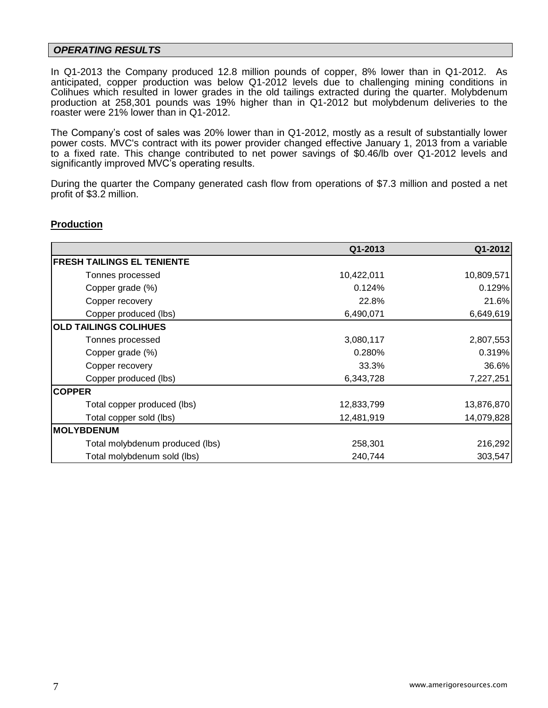#### *OPERATING RESULTS*

In Q1-2013 the Company produced 12.8 million pounds of copper, 8% lower than in Q1-2012. As anticipated, copper production was below Q1-2012 levels due to challenging mining conditions in Colihues which resulted in lower grades in the old tailings extracted during the quarter. Molybdenum production at 258,301 pounds was 19% higher than in Q1-2012 but molybdenum deliveries to the roaster were 21% lower than in Q1-2012.

The Company's cost of sales was 20% lower than in Q1-2012, mostly as a result of substantially lower power costs. MVC's contract with its power provider changed effective January 1, 2013 from a variable to a fixed rate. This change contributed to net power savings of \$0.46/lb over Q1-2012 levels and significantly improved MVC's operating results.

During the quarter the Company generated cash flow from operations of \$7.3 million and posted a net profit of \$3.2 million.

#### **Production**

|                                 | Q1-2013    | Q1-2012    |
|---------------------------------|------------|------------|
| FRESH TAILINGS EL TENIENTE      |            |            |
| Tonnes processed                | 10,422,011 | 10,809,571 |
| Copper grade (%)                | 0.124%     | 0.129%     |
| Copper recovery                 | 22.8%      | 21.6%      |
| Copper produced (lbs)           | 6,490,071  | 6,649,619  |
| <b>OLD TAILINGS COLIHUES</b>    |            |            |
| Tonnes processed                | 3,080,117  | 2,807,553  |
| Copper grade (%)                | 0.280%     | 0.319%     |
| Copper recovery                 | 33.3%      | 36.6%      |
| Copper produced (lbs)           | 6,343,728  | 7,227,251  |
| <b>COPPER</b>                   |            |            |
| Total copper produced (lbs)     | 12,833,799 | 13,876,870 |
| Total copper sold (lbs)         | 12,481,919 | 14,079,828 |
| <b>IMOLYBDENUM</b>              |            |            |
| Total molybdenum produced (lbs) | 258,301    | 216,292    |
| Total molybdenum sold (lbs)     | 240,744    | 303,547    |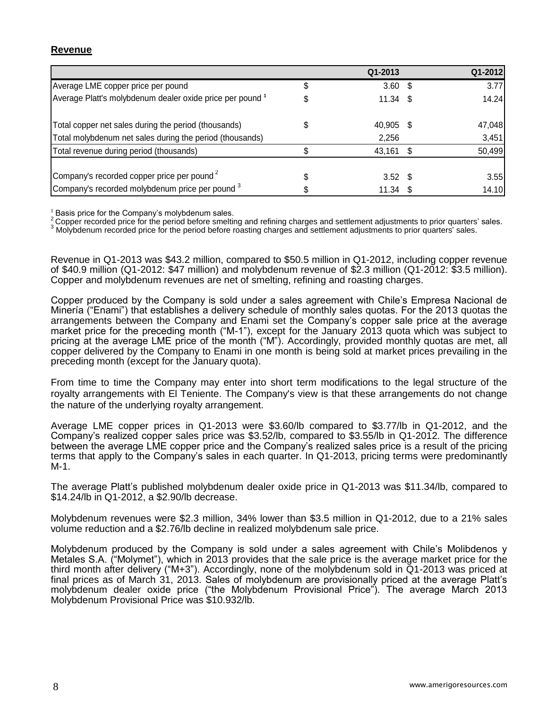## **Revenue**

|                                                           |   | Q1-2013    | Q1-2012 |
|-----------------------------------------------------------|---|------------|---------|
| Average LME copper price per pound                        | S | $3.60$ \$  | 3.77    |
| Average Platt's molybdenum dealer oxide price per pound 1 |   | $11.34$ \$ | 14.24   |
| Total copper net sales during the period (thousands)      |   | 40,905 \$  | 47,048  |
| Total molybdenum net sales during the period (thousands)  |   | 2,256      | 3,451   |
| Total revenue during period (thousands)                   |   | 43,161     | 50,499  |
| Company's recorded copper price per pound <sup>2</sup>    |   | $3.52$ \$  | 3.55    |
| Company's recorded molybdenum price per pound 3           |   | $11.34$ \$ | 14.10   |

 $<sup>1</sup>$  Basis price for the Company's molybdenum sales.</sup>

<sup>2</sup> Copper recorded price for the period before smelting and refining charges and settlement adjustments to prior quarters' sales.

3 Copper recorded price for the period before strietury and romany charges and settlement adjustments to prior quarters' sales.

Revenue in Q1-2013 was \$43.2 million, compared to \$50.5 million in Q1-2012, including copper revenue of \$40.9 million (Q1-2012: \$47 million) and molybdenum revenue of \$2.3 million (Q1-2012: \$3.5 million). Copper and molybdenum revenues are net of smelting, refining and roasting charges.

Copper produced by the Company is sold under a sales agreement with Chile's Empresa Nacional de Minería ("Enami") that establishes a delivery schedule of monthly sales quotas. For the 2013 quotas the arrangements between the Company and Enami set the Company's copper sale price at the average market price for the preceding month ("M-1"), except for the January 2013 quota which was subject to pricing at the average LME price of the month ("M"). Accordingly, provided monthly quotas are met, all copper delivered by the Company to Enami in one month is being sold at market prices prevailing in the preceding month (except for the January quota).

From time to time the Company may enter into short term modifications to the legal structure of the royalty arrangements with El Teniente. The Company's view is that these arrangements do not change the nature of the underlying royalty arrangement.

Average LME copper prices in Q1-2013 were \$3.60/lb compared to \$3.77/lb in Q1-2012, and the Company's realized copper sales price was \$3.52/lb, compared to \$3.55/lb in Q1-2012. The difference between the average LME copper price and the Company's realized sales price is a result of the pricing terms that apply to the Company's sales in each quarter. In Q1-2013, pricing terms were predominantly M-1.

The average Platt's published molybdenum dealer oxide price in Q1-2013 was \$11.34/lb, compared to \$14.24/lb in Q1-2012, a \$2.90/lb decrease.

Molybdenum revenues were \$2.3 million, 34% lower than \$3.5 million in Q1-2012, due to a 21% sales volume reduction and a \$2.76/lb decline in realized molybdenum sale price.

Molybdenum produced by the Company is sold under a sales agreement with Chile's Molibdenos y Metales S.A. ("Molymet"), which in 2013 provides that the sale price is the average market price for the third month after delivery ("M+3"). Accordingly, none of the molybdenum sold in Q1-2013 was priced at final prices as of March 31, 2013. Sales of molybdenum are provisionally priced at the average Platt's molybdenum dealer oxide price ("the Molybdenum Provisional Price"). The average March 2013 Molybdenum Provisional Price was \$10.932/lb.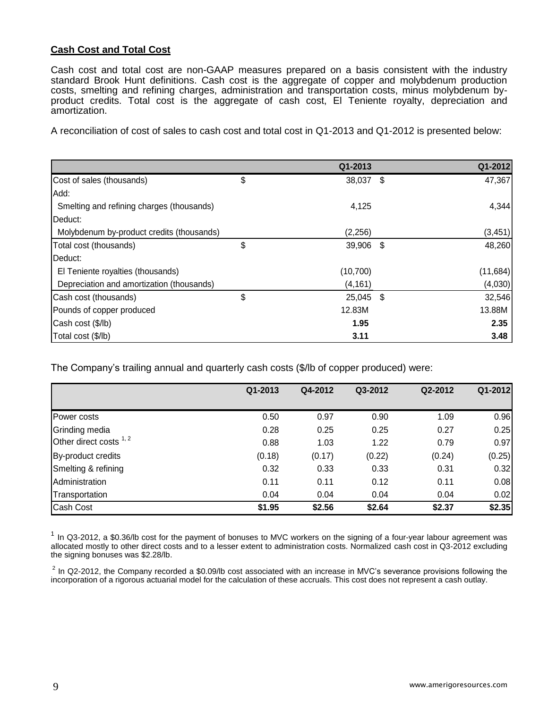## **Cash Cost and Total Cost**

Cash cost and total cost are non-GAAP measures prepared on a basis consistent with the industry standard Brook Hunt definitions. Cash cost is the aggregate of copper and molybdenum production costs, smelting and refining charges, administration and transportation costs, minus molybdenum byproduct credits. Total cost is the aggregate of cash cost, El Teniente royalty, depreciation and amortization.

A reconciliation of cost of sales to cash cost and total cost in Q1-2013 and Q1-2012 is presented below:

|                                           | Q1-2013         |     | Q1-2012  |
|-------------------------------------------|-----------------|-----|----------|
| Cost of sales (thousands)                 | \$<br>38,037    | -\$ | 47,367   |
| Add:                                      |                 |     |          |
| Smelting and refining charges (thousands) | 4,125           |     | 4,344    |
| Deduct:                                   |                 |     |          |
| Molybdenum by-product credits (thousands) | (2, 256)        |     | (3, 451) |
| Total cost (thousands)                    | \$<br>39,906 \$ |     | 48,260   |
| Deduct:                                   |                 |     |          |
| El Teniente royalties (thousands)         | (10, 700)       |     | (11,684) |
| Depreciation and amortization (thousands) | (4, 161)        |     | (4,030)  |
| Cash cost (thousands)                     | \$<br>25,045 \$ |     | 32,546   |
| Pounds of copper produced                 | 12.83M          |     | 13.88M   |
| Cash cost (\$/lb)                         | 1.95            |     | 2.35     |
| Total cost (\$/lb)                        | 3.11            |     | 3.48     |

The Company's trailing annual and quarterly cash costs (\$/lb of copper produced) were:

|                         | Q1-2013 | Q4-2012 | Q3-2012 | Q2-2012 | Q1-2012 |
|-------------------------|---------|---------|---------|---------|---------|
|                         |         |         |         |         |         |
| Power costs             | 0.50    | 0.97    | 0.90    | 1.09    | 0.96    |
| Grinding media          | 0.28    | 0.25    | 0.25    | 0.27    | 0.25    |
| Other direct costs 1, 2 | 0.88    | 1.03    | 1.22    | 0.79    | 0.97    |
| By-product credits      | (0.18)  | (0.17)  | (0.22)  | (0.24)  | (0.25)  |
| Smelting & refining     | 0.32    | 0.33    | 0.33    | 0.31    | 0.32    |
| Administration          | 0.11    | 0.11    | 0.12    | 0.11    | 0.08    |
| Transportation          | 0.04    | 0.04    | 0.04    | 0.04    | 0.02    |
| <b>Cash Cost</b>        | \$1.95  | \$2.56  | \$2.64  | \$2.37  | \$2.35  |

 $1$  In Q3-2012, a \$0.36/lb cost for the payment of bonuses to MVC workers on the signing of a four-year labour agreement was allocated mostly to other direct costs and to a lesser extent to administration costs. Normalized cash cost in Q3-2012 excluding the signing bonuses was \$2.28/lb.

 $^2$  In Q2-2012, the Company recorded a \$0.09/lb cost associated with an increase in MVC's severance provisions following the incorporation of a rigorous actuarial model for the calculation of these accruals. This cost does not represent a cash outlay.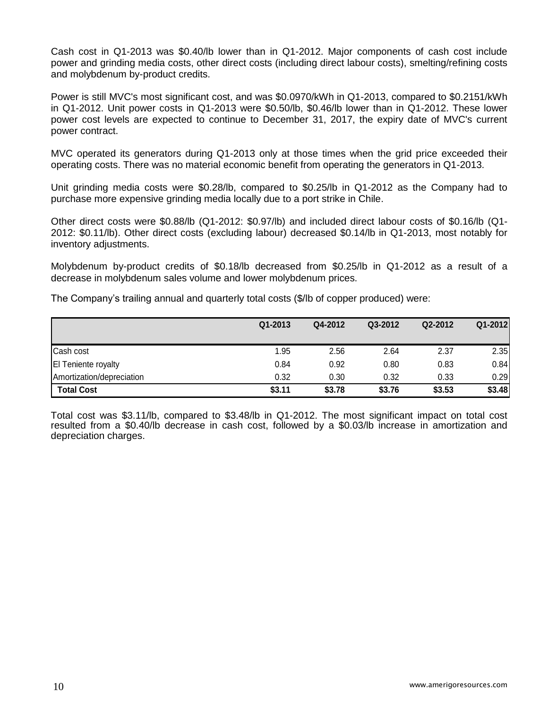Cash cost in Q1-2013 was \$0.40/lb lower than in Q1-2012. Major components of cash cost include power and grinding media costs, other direct costs (including direct labour costs), smelting/refining costs and molybdenum by-product credits.

Power is still MVC's most significant cost, and was \$0.0970/kWh in Q1-2013, compared to \$0.2151/kWh in Q1-2012. Unit power costs in Q1-2013 were \$0.50/lb, \$0.46/lb lower than in Q1-2012. These lower power cost levels are expected to continue to December 31, 2017, the expiry date of MVC's current power contract.

MVC operated its generators during Q1-2013 only at those times when the grid price exceeded their operating costs. There was no material economic benefit from operating the generators in Q1-2013.

Unit grinding media costs were \$0.28/lb, compared to \$0.25/lb in Q1-2012 as the Company had to purchase more expensive grinding media locally due to a port strike in Chile.

Other direct costs were \$0.88/lb (Q1-2012: \$0.97/lb) and included direct labour costs of \$0.16/lb (Q1- 2012: \$0.11/lb). Other direct costs (excluding labour) decreased \$0.14/lb in Q1-2013, most notably for inventory adjustments.

Molybdenum by-product credits of \$0.18/lb decreased from \$0.25/lb in Q1-2012 as a result of a decrease in molybdenum sales volume and lower molybdenum prices.

The Company's trailing annual and quarterly total costs (\$/lb of copper produced) were:

|                           | Q1-2013 | Q4-2012 | Q3-2012 | Q2-2012 | Q1-2012 |
|---------------------------|---------|---------|---------|---------|---------|
| Cash cost                 | 1.95    | 2.56    | 2.64    | 2.37    | 2.35    |
| El Teniente royalty       | 0.84    | 0.92    | 0.80    | 0.83    | 0.84    |
| Amortization/depreciation | 0.32    | 0.30    | 0.32    | 0.33    | 0.29    |
| <b>Total Cost</b>         | \$3.11  | \$3.78  | \$3.76  | \$3.53  | \$3.48  |

Total cost was \$3.11/lb, compared to \$3.48/lb in Q1-2012. The most significant impact on total cost resulted from a \$0.40/lb decrease in cash cost, followed by a \$0.03/lb increase in amortization and depreciation charges.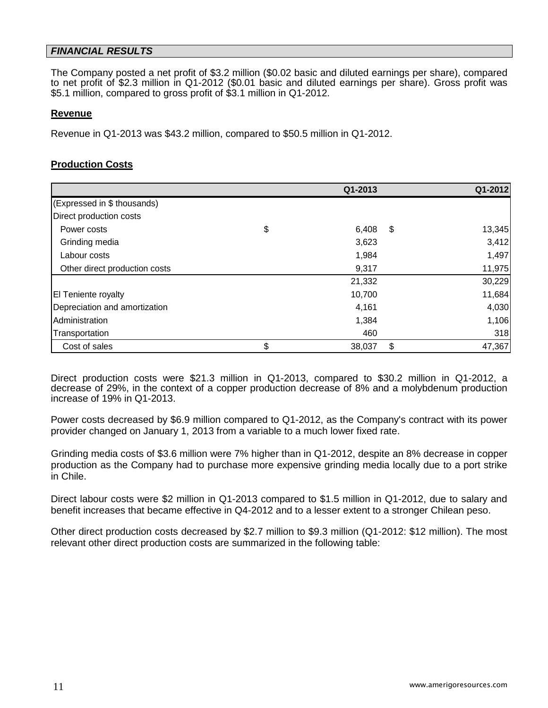## *FINANCIAL RESULTS*

The Company posted a net profit of \$3.2 million (\$0.02 basic and diluted earnings per share), compared to net profit of \$2.3 million in Q1-2012 (\$0.01 basic and diluted earnings per share). Gross profit was \$5.1 million, compared to gross profit of \$3.1 million in Q1-2012.

#### **Revenue**

Revenue in Q1-2013 was \$43.2 million, compared to \$50.5 million in Q1-2012.

### **Production Costs**

|                               | Q1-2013            | Q1-2012 |
|-------------------------------|--------------------|---------|
| (Expressed in \$ thousands)   |                    |         |
| Direct production costs       |                    |         |
| Power costs                   | \$<br>6,408<br>S   | 13,345  |
| Grinding media                | 3,623              | 3,412   |
| Labour costs                  | 1,984              | 1,497   |
| Other direct production costs | 9,317              | 11,975  |
|                               | 21,332             | 30,229  |
| El Teniente royalty           | 10,700             | 11,684  |
| Depreciation and amortization | 4,161              | 4,030   |
| Administration                | 1,384              | 1,106   |
| Transportation                | 460                | 318     |
| Cost of sales                 | \$<br>\$<br>38,037 | 47,367  |

Direct production costs were \$21.3 million in Q1-2013, compared to \$30.2 million in Q1-2012, a decrease of 29%, in the context of a copper production decrease of 8% and a molybdenum production increase of 19% in Q1-2013.

Power costs decreased by \$6.9 million compared to Q1-2012, as the Company's contract with its power provider changed on January 1, 2013 from a variable to a much lower fixed rate.

Grinding media costs of \$3.6 million were 7% higher than in Q1-2012, despite an 8% decrease in copper production as the Company had to purchase more expensive grinding media locally due to a port strike in Chile.

Direct labour costs were \$2 million in Q1-2013 compared to \$1.5 million in Q1-2012, due to salary and benefit increases that became effective in Q4-2012 and to a lesser extent to a stronger Chilean peso.

Other direct production costs decreased by \$2.7 million to \$9.3 million (Q1-2012: \$12 million). The most relevant other direct production costs are summarized in the following table: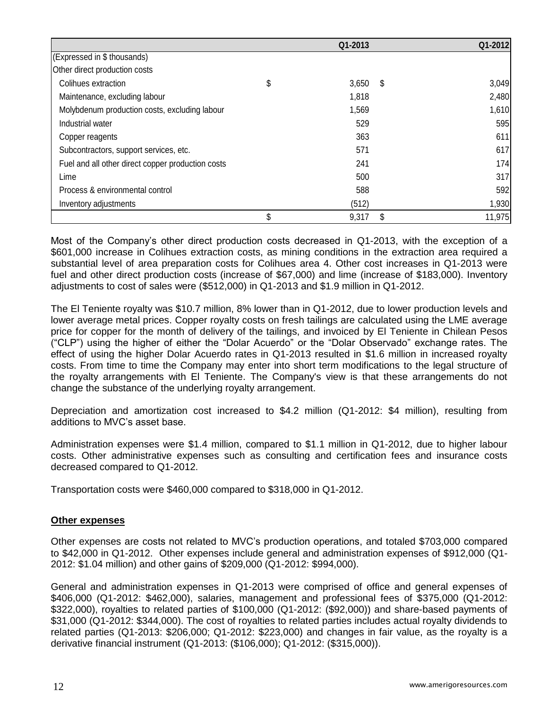|                                                   | Q1-2013     |    | Q1-2012 |
|---------------------------------------------------|-------------|----|---------|
| (Expressed in \$ thousands)                       |             |    |         |
| Other direct production costs                     |             |    |         |
| Colihues extraction                               | \$<br>3,650 | S  | 3,049   |
| Maintenance, excluding labour                     | 1,818       |    | 2,480   |
| Molybdenum production costs, excluding labour     | 1,569       |    | 1,610   |
| Industrial water                                  | 529         |    | 595     |
| Copper reagents                                   | 363         |    | 611     |
| Subcontractors, support services, etc.            | 571         |    | 617     |
| Fuel and all other direct copper production costs | 241         |    | 174     |
| Lime                                              | 500         |    | 317     |
| Process & environmental control                   | 588         |    | 592     |
| Inventory adjustments                             | (512)       |    | 1,930   |
|                                                   | \$<br>9,317 | \$ | 11,975  |

Most of the Company's other direct production costs decreased in Q1-2013, with the exception of a \$601,000 increase in Colihues extraction costs, as mining conditions in the extraction area required a substantial level of area preparation costs for Colihues area 4. Other cost increases in Q1-2013 were fuel and other direct production costs (increase of \$67,000) and lime (increase of \$183,000). Inventory adjustments to cost of sales were (\$512,000) in Q1-2013 and \$1.9 million in Q1-2012.

The El Teniente royalty was \$10.7 million, 8% lower than in Q1-2012, due to lower production levels and lower average metal prices. Copper royalty costs on fresh tailings are calculated using the LME average price for copper for the month of delivery of the tailings, and invoiced by El Teniente in Chilean Pesos ("CLP") using the higher of either the "Dolar Acuerdo" or the "Dolar Observado" exchange rates. The effect of using the higher Dolar Acuerdo rates in Q1-2013 resulted in \$1.6 million in increased royalty costs. From time to time the Company may enter into short term modifications to the legal structure of the royalty arrangements with El Teniente. The Company's view is that these arrangements do not change the substance of the underlying royalty arrangement.

Depreciation and amortization cost increased to \$4.2 million (Q1-2012: \$4 million), resulting from additions to MVC's asset base.

Administration expenses were \$1.4 million, compared to \$1.1 million in Q1-2012, due to higher labour costs. Other administrative expenses such as consulting and certification fees and insurance costs decreased compared to Q1-2012.

Transportation costs were \$460,000 compared to \$318,000 in Q1-2012.

## **Other expenses**

Other expenses are costs not related to MVC's production operations, and totaled \$703,000 compared to \$42,000 in Q1-2012. Other expenses include general and administration expenses of \$912,000 (Q1- 2012: \$1.04 million) and other gains of \$209,000 (Q1-2012: \$994,000).

General and administration expenses in Q1-2013 were comprised of office and general expenses of \$406,000 (Q1-2012: \$462,000), salaries, management and professional fees of \$375,000 (Q1-2012: \$322,000), royalties to related parties of \$100,000 (Q1-2012: (\$92,000)) and share-based payments of \$31,000 (Q1-2012: \$344,000). The cost of royalties to related parties includes actual royalty dividends to related parties (Q1-2013: \$206,000; Q1-2012: \$223,000) and changes in fair value, as the royalty is a derivative financial instrument (Q1-2013: (\$106,000); Q1-2012: (\$315,000)).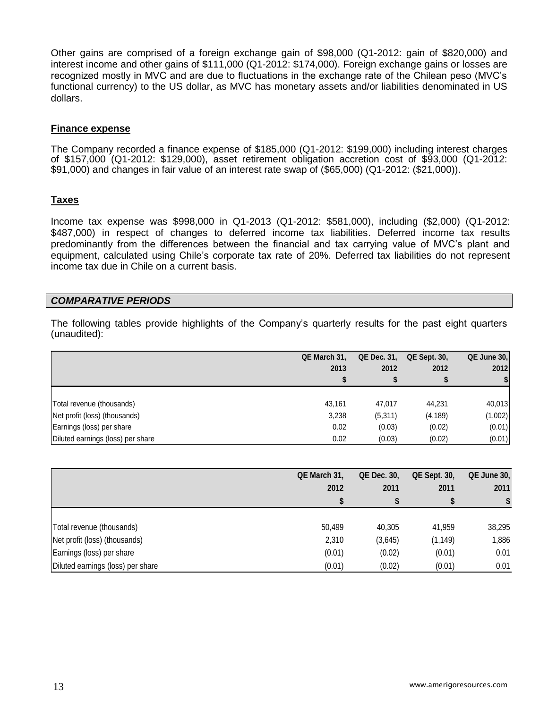Other gains are comprised of a foreign exchange gain of \$98,000 (Q1-2012: gain of \$820,000) and interest income and other gains of \$111,000 (Q1-2012: \$174,000). Foreign exchange gains or losses are recognized mostly in MVC and are due to fluctuations in the exchange rate of the Chilean peso (MVC's functional currency) to the US dollar, as MVC has monetary assets and/or liabilities denominated in US dollars.

#### **Finance expense**

The Company recorded a finance expense of \$185,000 (Q1-2012: \$199,000) including interest charges of \$157,000 (Q1-2012: \$129,000), asset retirement obligation accretion cost of \$93,000 (Q1-2012: \$91,000) and changes in fair value of an interest rate swap of (\$65,000) (Q1-2012: (\$21,000)).

## **Taxes**

Income tax expense was \$998,000 in Q1-2013 (Q1-2012: \$581,000), including (\$2,000) (Q1-2012: \$487,000) in respect of changes to deferred income tax liabilities. Deferred income tax results predominantly from the differences between the financial and tax carrying value of MVC's plant and equipment, calculated using Chile's corporate tax rate of 20%. Deferred tax liabilities do not represent income tax due in Chile on a current basis.

### *COMPARATIVE PERIODS*

The following tables provide highlights of the Company's quarterly results for the past eight quarters (unaudited):

|                                   | QE March 31. | <b>QE Dec. 31.</b> | <b>QE Sept. 30.</b> | QE June 30, |
|-----------------------------------|--------------|--------------------|---------------------|-------------|
|                                   | 2013         | 2012               | 2012                | 2012        |
|                                   |              |                    |                     | \$          |
|                                   |              |                    |                     |             |
| Total revenue (thousands)         | 43,161       | 47.017             | 44.231              | 40,013      |
| Net profit (loss) (thousands)     | 3,238        | (5,311)            | (4, 189)            | (1,002)     |
| Earnings (loss) per share         | 0.02         | (0.03)             | (0.02)              | (0.01)      |
| Diluted earnings (loss) per share | 0.02         | (0.03)             | (0.02)              | (0.01)      |

|                                   | QE March 31, | <b>QE Dec. 30.</b> | <b>QE Sept. 30,</b> | QE June 30, |
|-----------------------------------|--------------|--------------------|---------------------|-------------|
|                                   | 2012         | 2011               | 2011                | 2011        |
|                                   |              |                    |                     |             |
|                                   |              |                    |                     |             |
| Total revenue (thousands)         | 50.499       | 40.305             | 41.959              | 38,295      |
| Net profit (loss) (thousands)     | 2,310        | (3,645)            | (1, 149)            | 1,886       |
| Earnings (loss) per share         | (0.01)       | (0.02)             | (0.01)              | 0.01        |
| Diluted earnings (loss) per share | (0.01)       | (0.02)             | (0.01)              | 0.01        |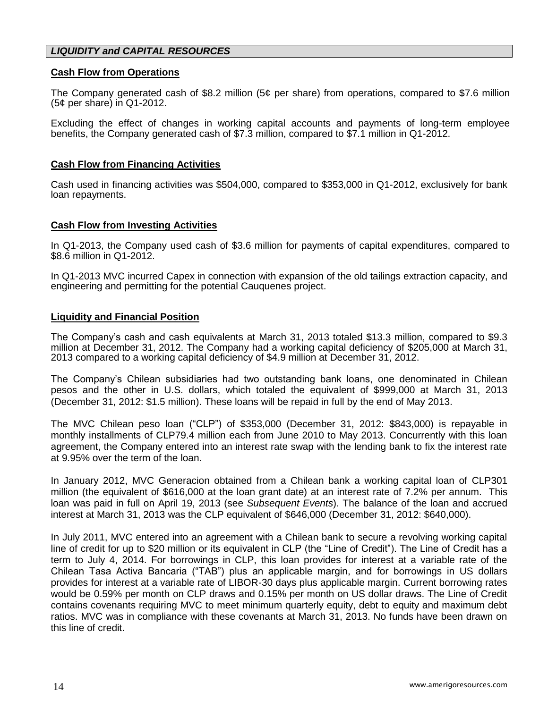## *LIQUIDITY and CAPITAL RESOURCES*

#### **Cash Flow from Operations**

The Company generated cash of \$8.2 million (5¢ per share) from operations, compared to \$7.6 million (5¢ per share) in Q1-2012.

Excluding the effect of changes in working capital accounts and payments of long-term employee benefits, the Company generated cash of \$7.3 million, compared to \$7.1 million in Q1-2012.

#### **Cash Flow from Financing Activities**

Cash used in financing activities was \$504,000, compared to \$353,000 in Q1-2012, exclusively for bank loan repayments.

#### **Cash Flow from Investing Activities**

In Q1-2013, the Company used cash of \$3.6 million for payments of capital expenditures, compared to \$8.6 million in Q1-2012.

In Q1-2013 MVC incurred Capex in connection with expansion of the old tailings extraction capacity, and engineering and permitting for the potential Cauquenes project.

#### **Liquidity and Financial Position**

The Company's cash and cash equivalents at March 31, 2013 totaled \$13.3 million, compared to \$9.3 million at December 31, 2012. The Company had a working capital deficiency of \$205,000 at March 31, 2013 compared to a working capital deficiency of \$4.9 million at December 31, 2012.

The Company's Chilean subsidiaries had two outstanding bank loans, one denominated in Chilean pesos and the other in U.S. dollars, which totaled the equivalent of \$999,000 at March 31, 2013 (December 31, 2012: \$1.5 million). These loans will be repaid in full by the end of May 2013.

The MVC Chilean peso loan ("CLP") of \$353,000 (December 31, 2012: \$843,000) is repayable in monthly installments of CLP79.4 million each from June 2010 to May 2013. Concurrently with this loan agreement, the Company entered into an interest rate swap with the lending bank to fix the interest rate at 9.95% over the term of the loan.

In January 2012, MVC Generacion obtained from a Chilean bank a working capital loan of CLP301 million (the equivalent of \$616,000 at the loan grant date) at an interest rate of 7.2% per annum. This loan was paid in full on April 19, 2013 (see *Subsequent Events*). The balance of the loan and accrued interest at March 31, 2013 was the CLP equivalent of \$646,000 (December 31, 2012: \$640,000).

In July 2011, MVC entered into an agreement with a Chilean bank to secure a revolving working capital line of credit for up to \$20 million or its equivalent in CLP (the "Line of Credit"). The Line of Credit has a term to July 4, 2014. For borrowings in CLP, this loan provides for interest at a variable rate of the Chilean Tasa Activa Bancaria ("TAB") plus an applicable margin, and for borrowings in US dollars provides for interest at a variable rate of LIBOR-30 days plus applicable margin. Current borrowing rates would be 0.59% per month on CLP draws and 0.15% per month on US dollar draws. The Line of Credit contains covenants requiring MVC to meet minimum quarterly equity, debt to equity and maximum debt ratios. MVC was in compliance with these covenants at March 31, 2013. No funds have been drawn on this line of credit.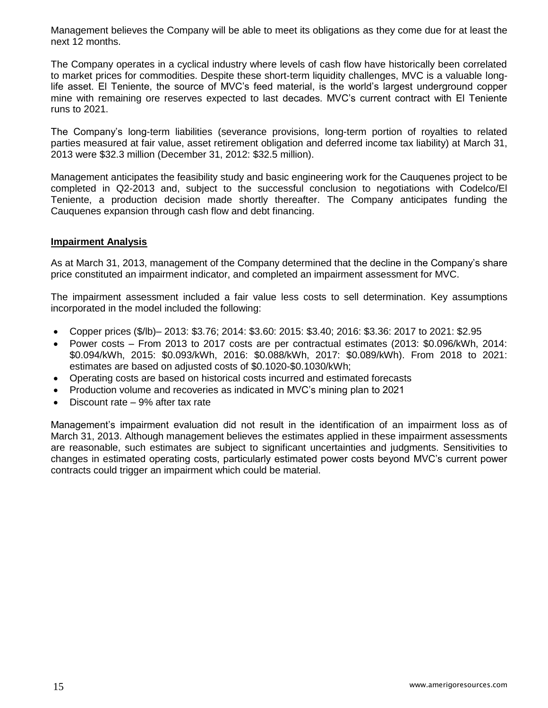Management believes the Company will be able to meet its obligations as they come due for at least the next 12 months.

The Company operates in a cyclical industry where levels of cash flow have historically been correlated to market prices for commodities. Despite these short-term liquidity challenges, MVC is a valuable longlife asset. El Teniente, the source of MVC's feed material, is the world's largest underground copper mine with remaining ore reserves expected to last decades. MVC's current contract with El Teniente runs to 2021.

The Company's long-term liabilities (severance provisions, long-term portion of royalties to related parties measured at fair value, asset retirement obligation and deferred income tax liability) at March 31, 2013 were \$32.3 million (December 31, 2012: \$32.5 million).

Management anticipates the feasibility study and basic engineering work for the Cauquenes project to be completed in Q2-2013 and, subject to the successful conclusion to negotiations with Codelco/El Teniente, a production decision made shortly thereafter. The Company anticipates funding the Cauquenes expansion through cash flow and debt financing.

### **Impairment Analysis**

As at March 31, 2013, management of the Company determined that the decline in the Company's share price constituted an impairment indicator, and completed an impairment assessment for MVC.

The impairment assessment included a fair value less costs to sell determination. Key assumptions incorporated in the model included the following:

- Copper prices (\$/lb)– 2013: \$3.76; 2014: \$3.60: 2015: \$3.40; 2016: \$3.36: 2017 to 2021: \$2.95
- Power costs From 2013 to 2017 costs are per contractual estimates (2013: \$0.096/kWh, 2014: \$0.094/kWh, 2015: \$0.093/kWh, 2016: \$0.088/kWh, 2017: \$0.089/kWh). From 2018 to 2021: estimates are based on adjusted costs of \$0.1020-\$0.1030/kWh;
- Operating costs are based on historical costs incurred and estimated forecasts
- Production volume and recoveries as indicated in MVC's mining plan to 2021
- Discount rate 9% after tax rate

Management's impairment evaluation did not result in the identification of an impairment loss as of March 31, 2013. Although management believes the estimates applied in these impairment assessments are reasonable, such estimates are subject to significant uncertainties and judgments. Sensitivities to changes in estimated operating costs, particularly estimated power costs beyond MVC's current power contracts could trigger an impairment which could be material.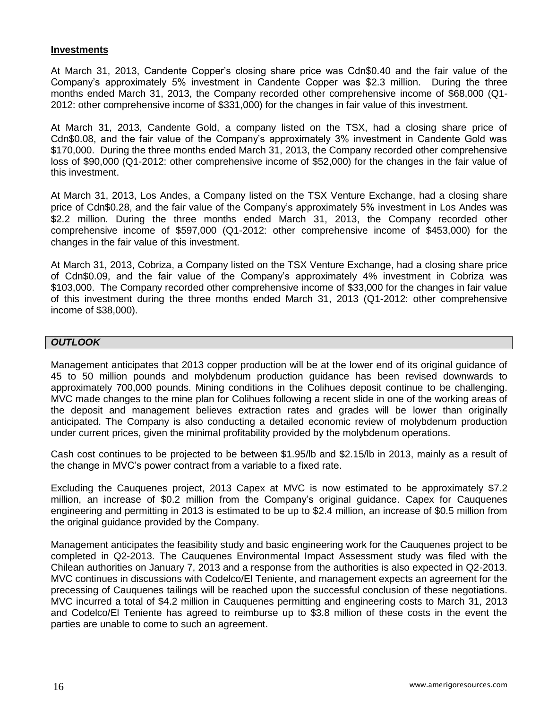#### **Investments**

At March 31, 2013, Candente Copper's closing share price was Cdn\$0.40 and the fair value of the Company's approximately 5% investment in Candente Copper was \$2.3 million. During the three months ended March 31, 2013, the Company recorded other comprehensive income of \$68,000 (Q1- 2012: other comprehensive income of \$331,000) for the changes in fair value of this investment.

At March 31, 2013, Candente Gold, a company listed on the TSX, had a closing share price of Cdn\$0.08, and the fair value of the Company's approximately 3% investment in Candente Gold was \$170,000. During the three months ended March 31, 2013, the Company recorded other comprehensive loss of \$90,000 (Q1-2012: other comprehensive income of \$52,000) for the changes in the fair value of this investment.

At March 31, 2013, Los Andes, a Company listed on the TSX Venture Exchange, had a closing share price of Cdn\$0.28, and the fair value of the Company's approximately 5% investment in Los Andes was \$2.2 million. During the three months ended March 31, 2013, the Company recorded other comprehensive income of \$597,000 (Q1-2012: other comprehensive income of \$453,000) for the changes in the fair value of this investment.

At March 31, 2013, Cobriza, a Company listed on the TSX Venture Exchange, had a closing share price of Cdn\$0.09, and the fair value of the Company's approximately 4% investment in Cobriza was \$103,000. The Company recorded other comprehensive income of \$33,000 for the changes in fair value of this investment during the three months ended March 31, 2013 (Q1-2012: other comprehensive income of \$38,000).

#### *OUTLOOK*

Management anticipates that 2013 copper production will be at the lower end of its original guidance of 45 to 50 million pounds and molybdenum production guidance has been revised downwards to approximately 700,000 pounds. Mining conditions in the Colihues deposit continue to be challenging. MVC made changes to the mine plan for Colihues following a recent slide in one of the working areas of the deposit and management believes extraction rates and grades will be lower than originally anticipated. The Company is also conducting a detailed economic review of molybdenum production under current prices, given the minimal profitability provided by the molybdenum operations.

Cash cost continues to be projected to be between \$1.95/lb and \$2.15/lb in 2013, mainly as a result of the change in MVC's power contract from a variable to a fixed rate.

Excluding the Cauquenes project, 2013 Capex at MVC is now estimated to be approximately \$7.2 million, an increase of \$0.2 million from the Company's original guidance. Capex for Cauquenes engineering and permitting in 2013 is estimated to be up to \$2.4 million, an increase of \$0.5 million from the original guidance provided by the Company.

Management anticipates the feasibility study and basic engineering work for the Cauquenes project to be completed in Q2-2013. The Cauquenes Environmental Impact Assessment study was filed with the Chilean authorities on January 7, 2013 and a response from the authorities is also expected in Q2-2013. MVC continues in discussions with Codelco/El Teniente, and management expects an agreement for the precessing of Cauquenes tailings will be reached upon the successful conclusion of these negotiations. MVC incurred a total of \$4.2 million in Cauquenes permitting and engineering costs to March 31, 2013 and Codelco/El Teniente has agreed to reimburse up to \$3.8 million of these costs in the event the parties are unable to come to such an agreement.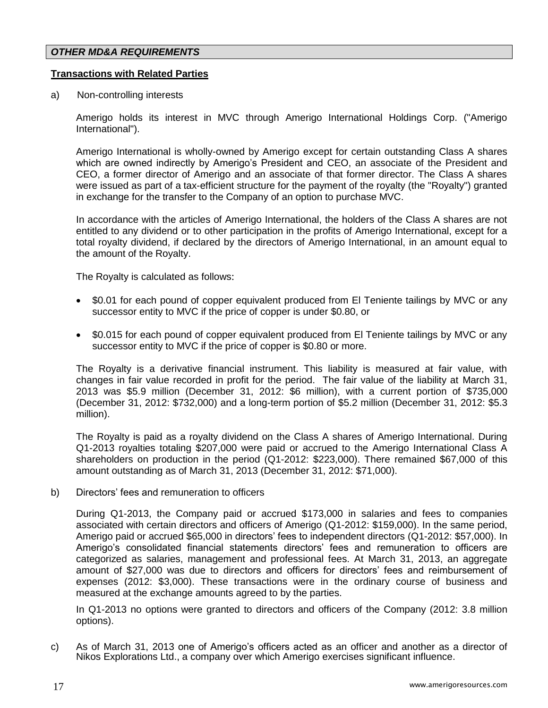#### *OTHER MD&A REQUIREMENTS*

#### **Transactions with Related Parties**

a) Non-controlling interests

Amerigo holds its interest in MVC through Amerigo International Holdings Corp. ("Amerigo International").

Amerigo International is wholly-owned by Amerigo except for certain outstanding Class A shares which are owned indirectly by Amerigo's President and CEO, an associate of the President and CEO, a former director of Amerigo and an associate of that former director. The Class A shares were issued as part of a tax-efficient structure for the payment of the royalty (the "Royalty") granted in exchange for the transfer to the Company of an option to purchase MVC.

In accordance with the articles of Amerigo International, the holders of the Class A shares are not entitled to any dividend or to other participation in the profits of Amerigo International, except for a total royalty dividend, if declared by the directors of Amerigo International, in an amount equal to the amount of the Royalty.

The Royalty is calculated as follows:

- \$0.01 for each pound of copper equivalent produced from El Teniente tailings by MVC or any successor entity to MVC if the price of copper is under \$0.80, or
- \$0.015 for each pound of copper equivalent produced from El Teniente tailings by MVC or any successor entity to MVC if the price of copper is \$0.80 or more.

The Royalty is a derivative financial instrument. This liability is measured at fair value, with changes in fair value recorded in profit for the period. The fair value of the liability at March 31, 2013 was \$5.9 million (December 31, 2012: \$6 million), with a current portion of \$735,000 (December 31, 2012: \$732,000) and a long-term portion of \$5.2 million (December 31, 2012: \$5.3 million).

The Royalty is paid as a royalty dividend on the Class A shares of Amerigo International. During Q1-2013 royalties totaling \$207,000 were paid or accrued to the Amerigo International Class A shareholders on production in the period (Q1-2012: \$223,000). There remained \$67,000 of this amount outstanding as of March 31, 2013 (December 31, 2012: \$71,000).

b) Directors' fees and remuneration to officers

During Q1-2013, the Company paid or accrued \$173,000 in salaries and fees to companies associated with certain directors and officers of Amerigo (Q1-2012: \$159,000). In the same period, Amerigo paid or accrued \$65,000 in directors' fees to independent directors (Q1-2012: \$57,000). In Amerigo's consolidated financial statements directors' fees and remuneration to officers are categorized as salaries, management and professional fees. At March 31, 2013, an aggregate amount of \$27,000 was due to directors and officers for directors' fees and reimbursement of expenses (2012: \$3,000). These transactions were in the ordinary course of business and measured at the exchange amounts agreed to by the parties.

In Q1-2013 no options were granted to directors and officers of the Company (2012: 3.8 million options).

c) As of March 31, 2013 one of Amerigo's officers acted as an officer and another as a director of Nikos Explorations Ltd., a company over which Amerigo exercises significant influence.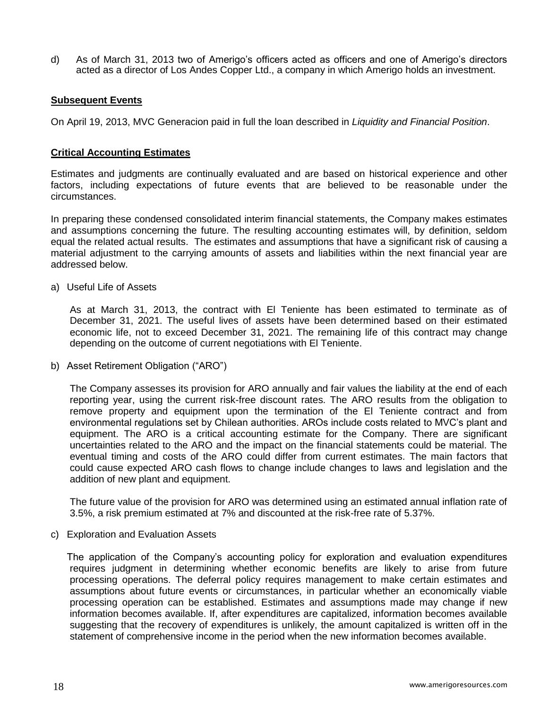d) As of March 31, 2013 two of Amerigo's officers acted as officers and one of Amerigo's directors acted as a director of Los Andes Copper Ltd., a company in which Amerigo holds an investment.

#### **Subsequent Events**

On April 19, 2013, MVC Generacion paid in full the loan described in *Liquidity and Financial Position*.

#### **Critical Accounting Estimates**

Estimates and judgments are continually evaluated and are based on historical experience and other factors, including expectations of future events that are believed to be reasonable under the circumstances.

In preparing these condensed consolidated interim financial statements, the Company makes estimates and assumptions concerning the future. The resulting accounting estimates will, by definition, seldom equal the related actual results. The estimates and assumptions that have a significant risk of causing a material adjustment to the carrying amounts of assets and liabilities within the next financial year are addressed below.

a) Useful Life of Assets

As at March 31, 2013, the contract with El Teniente has been estimated to terminate as of December 31, 2021. The useful lives of assets have been determined based on their estimated economic life, not to exceed December 31, 2021. The remaining life of this contract may change depending on the outcome of current negotiations with El Teniente.

b) Asset Retirement Obligation ("ARO")

The Company assesses its provision for ARO annually and fair values the liability at the end of each reporting year, using the current risk-free discount rates. The ARO results from the obligation to remove property and equipment upon the termination of the El Teniente contract and from environmental regulations set by Chilean authorities. AROs include costs related to MVC's plant and equipment. The ARO is a critical accounting estimate for the Company. There are significant uncertainties related to the ARO and the impact on the financial statements could be material. The eventual timing and costs of the ARO could differ from current estimates. The main factors that could cause expected ARO cash flows to change include changes to laws and legislation and the addition of new plant and equipment.

The future value of the provision for ARO was determined using an estimated annual inflation rate of 3.5%, a risk premium estimated at 7% and discounted at the risk-free rate of 5.37%.

c) Exploration and Evaluation Assets

The application of the Company's accounting policy for exploration and evaluation expenditures requires judgment in determining whether economic benefits are likely to arise from future processing operations. The deferral policy requires management to make certain estimates and assumptions about future events or circumstances, in particular whether an economically viable processing operation can be established. Estimates and assumptions made may change if new information becomes available. If, after expenditures are capitalized, information becomes available suggesting that the recovery of expenditures is unlikely, the amount capitalized is written off in the statement of comprehensive income in the period when the new information becomes available.